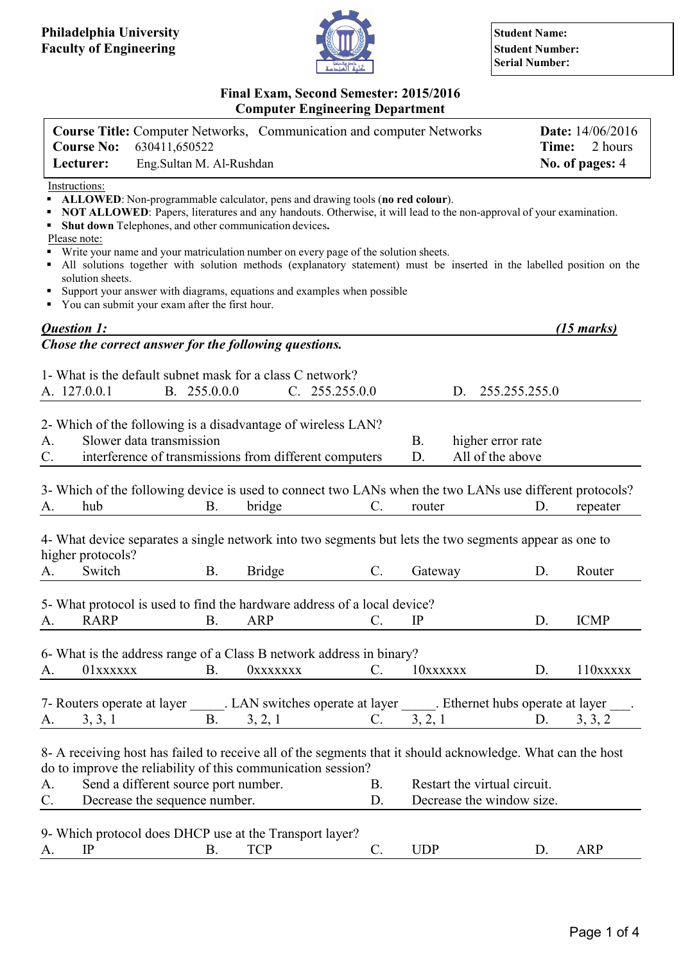

**Serial Number:**

### **Final Exam, Second Semester: 2015/2016 Computer Engineering Department**

|               | <b>Course Title:</b> Computer Networks, Communication and computer Networks | <b>Date:</b> $14/06/2016$ |
|---------------|-----------------------------------------------------------------------------|---------------------------|
|               | <b>Course No:</b> 630411,650522                                             | <b>Time:</b> 2 hours      |
| Lecturer:     | Eng. Sultan M. Al-Rushdan                                                   | No. of pages: 4           |
| Instructions: |                                                                             |                           |

**ALLOWED**: Non-programmable calculator, pens and drawing tools (**no red colour**).

- **NOT ALLOWED**: Papers, literatures and any handouts. Otherwise, it will lead to the non-approval of your examination.
- **Shut down** Telephones, and other communication devices**.**

Please note:

- Write your name and your matriculation number on every page of the solution sheets.
- All solutions together with solution methods (explanatory statement) must be inserted in the labelled position on the solution sheets.
- Support your answer with diagrams, equations and examples when possible
- You can submit your exam after the first hour.

|             | Question 1:                                                                                                                                                                                                         |              |                 |                 |            |    |                                                           | $(15 \text{ marks})$                               |
|-------------|---------------------------------------------------------------------------------------------------------------------------------------------------------------------------------------------------------------------|--------------|-----------------|-----------------|------------|----|-----------------------------------------------------------|----------------------------------------------------|
|             | Chose the correct answer for the following questions.                                                                                                                                                               |              |                 |                 |            |    |                                                           |                                                    |
|             | 1- What is the default subnet mask for a class C network?                                                                                                                                                           |              |                 |                 |            |    |                                                           |                                                    |
|             | A. 127.0.0.1                                                                                                                                                                                                        | B. 255.0.0.0 |                 | C. 255.255.0.0  |            | D. | 255.255.255.0                                             |                                                    |
|             |                                                                                                                                                                                                                     |              |                 |                 |            |    |                                                           |                                                    |
|             | 2- Which of the following is a disadvantage of wireless LAN?                                                                                                                                                        |              |                 |                 |            |    |                                                           |                                                    |
| A.          | Slower data transmission                                                                                                                                                                                            |              |                 |                 | <b>B.</b>  |    | higher error rate                                         |                                                    |
| $C$ .       | interference of transmissions from different computers                                                                                                                                                              |              |                 |                 | D.         |    | All of the above                                          |                                                    |
|             |                                                                                                                                                                                                                     |              |                 |                 |            |    |                                                           |                                                    |
|             | 3- Which of the following device is used to connect two LANs when the two LANs use different protocols?                                                                                                             |              |                 |                 |            |    |                                                           |                                                    |
| A.          | hub                                                                                                                                                                                                                 | <b>B.</b>    | bridge          | $\mathbb{C}$ .  | router     |    | D.                                                        | repeater                                           |
|             | 4- What device separates a single network into two segments but lets the two segments appear as one to<br>higher protocols?                                                                                         |              |                 |                 |            |    |                                                           |                                                    |
| A.          | Switch                                                                                                                                                                                                              | <b>B.</b>    | <b>Bridge</b>   | $C$ .           | Gateway    |    | D.                                                        | Router                                             |
| A.          | 5- What protocol is used to find the hardware address of a local device?<br><b>RARP</b>                                                                                                                             | B.           | <b>ARP</b>      | C.              | IP         |    | D.                                                        | <b>ICMP</b>                                        |
|             |                                                                                                                                                                                                                     |              |                 |                 |            |    |                                                           |                                                    |
|             | 6- What is the address range of a Class B network address in binary?                                                                                                                                                |              |                 |                 |            |    |                                                           |                                                    |
| A.          | 01xxxxxx                                                                                                                                                                                                            | <b>B.</b>    | <b>OXXXXXXX</b> | $C_{\cdot}$     | 10xxxxxx   |    | D.                                                        | $110$ <b>x</b> $\bf$ <b>x</b> $\bf$ <b>x</b> $\bf$ |
|             |                                                                                                                                                                                                                     |              |                 |                 |            |    |                                                           |                                                    |
|             | 7- Routers operate at layer ______. LAN switches operate at layer ______. Ethernet hubs operate at layer                                                                                                            |              |                 |                 |            |    |                                                           |                                                    |
| A.          | 3, 3, 1                                                                                                                                                                                                             | <b>B.</b>    | 3, 2, 1         | $\mathbf{C}$ .  | 3, 2, 1    |    | D.                                                        | 3, 3, 2                                            |
| A.<br>$C$ . | 8- A receiving host has failed to receive all of the segments that it should acknowledge. What can the host<br>do to improve the reliability of this communication session?<br>Send a different source port number. |              |                 | <b>B.</b><br>D. |            |    | Restart the virtual circuit.<br>Decrease the window size. |                                                    |
|             | Decrease the sequence number.                                                                                                                                                                                       |              |                 |                 |            |    |                                                           |                                                    |
|             | 9- Which protocol does DHCP use at the Transport layer?                                                                                                                                                             |              |                 |                 |            |    |                                                           |                                                    |
| A.          | IP                                                                                                                                                                                                                  | <b>B.</b>    | <b>TCP</b>      | $\mathcal{C}$ . | <b>UDP</b> |    | D.                                                        | <b>ARP</b>                                         |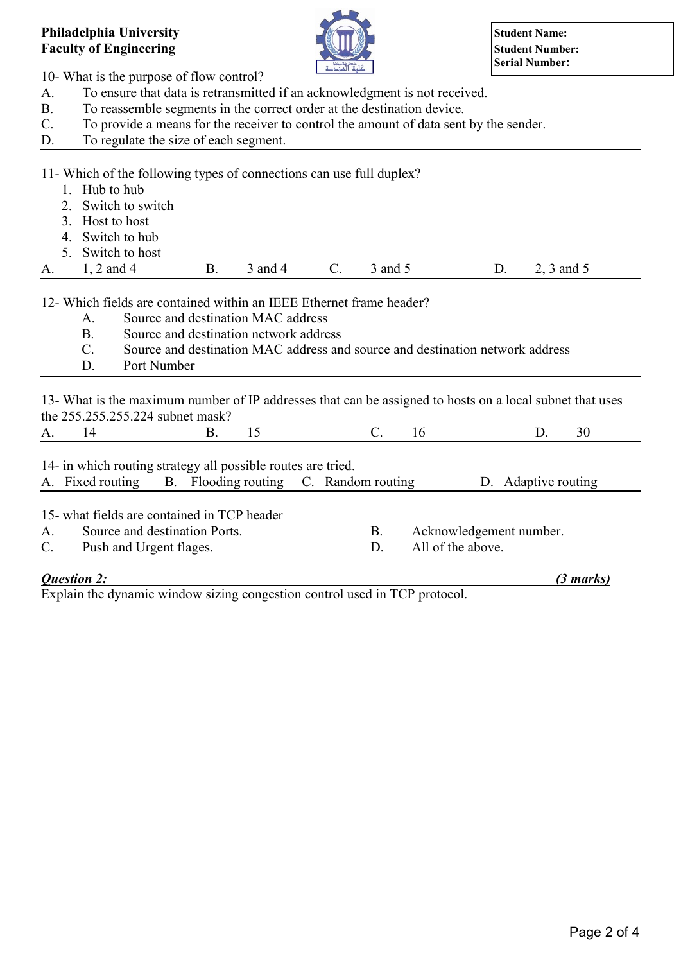## **Philadelphia University Student Name: Student Name: Student Name: Student Name: Faculty of Engineering Student Number:**



10- What is the purpose of flow control?

- A. To ensure that data is retransmitted if an acknowledgment is not received.
- B. To reassemble segments in the correct order at the destination device.
- C. To provide a means for the receiver to control the amount of data sent by the sender.
- D. To regulate the size of each segment.

11- Which of the following types of connections can use full duplex?

- 1. Hub to hub
- 2. Switch to switch
- 3. Host to host
- 4. Switch to hub
- 5. Switch to host

A. 1, 2 and 4 B. 3 and 4 C. 3 and 5 D. 2, 3 and 5

12- Which fields are contained within an IEEE Ethernet frame header?

- A. Source and destination MAC address
- B. Source and destination network address
- C. Source and destination MAC address and source and destination network address
- D. Port Number

13- What is the maximum number of IP addresses that can be assigned to hosts on a local subnet that uses the 255.255.255.224 subnet mask?

| 14- in which routing strategy all possible routes are tried. |  |  |  |  |  |  |  |
|--------------------------------------------------------------|--|--|--|--|--|--|--|

|  | A. Fixed routing B. Flooding routing C. Random routing |  | D. Adaptive routing |
|--|--------------------------------------------------------|--|---------------------|
|  | $17 \t1.011 \t1.11$ $1 \t1.0011 \t1.1$                 |  |                     |

15- what fields are contained in TCP header

- A. Source and destination Ports. B. Acknowledgement number.
- C. Push and Urgent flages. D. All of the above.
- *Question 2: (3 marks)*

Explain the dynamic window sizing congestion control used in TCP protocol.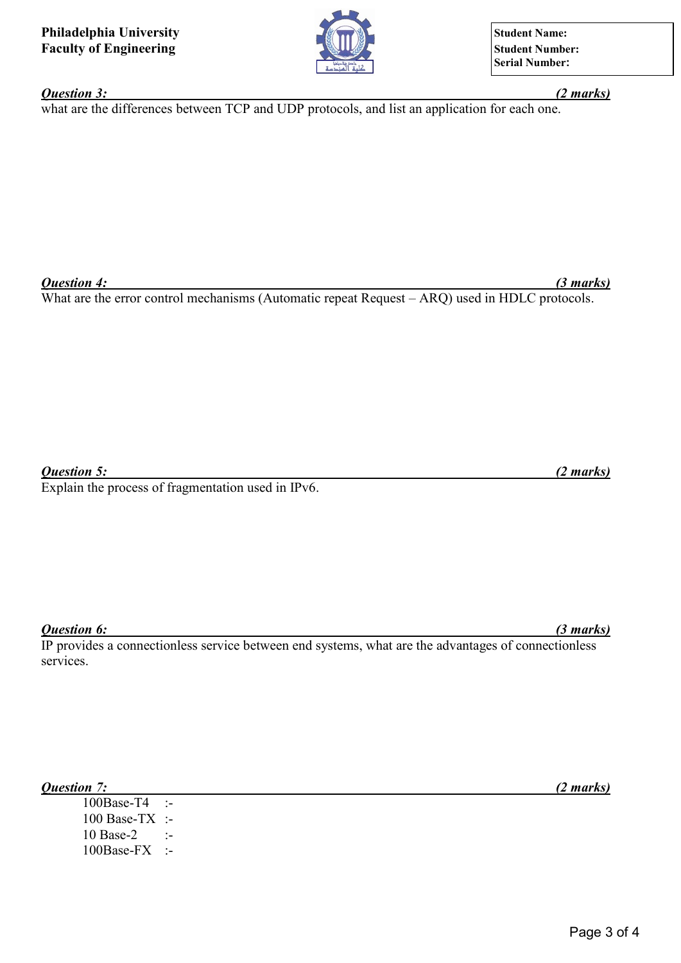**Serial Number:**

### *Question 3: (2 marks)*

what are the differences between TCP and UDP protocols, and list an application for each one.

*Question 4: (3 marks)*

What are the error control mechanisms (Automatic repeat Request – ARQ) used in HDLC protocols.

*Question 5: (2 marks)*

Explain the process of fragmentation used in IPv6.

## *Question 6: (3 marks)*

IP provides a connectionless service between end systems, what are the advantages of connectionless services.

*Question 7: (2 marks)*

100Base-T4 :- 100 Base-TX :- 10 Base-2 :-100Base-FX :-